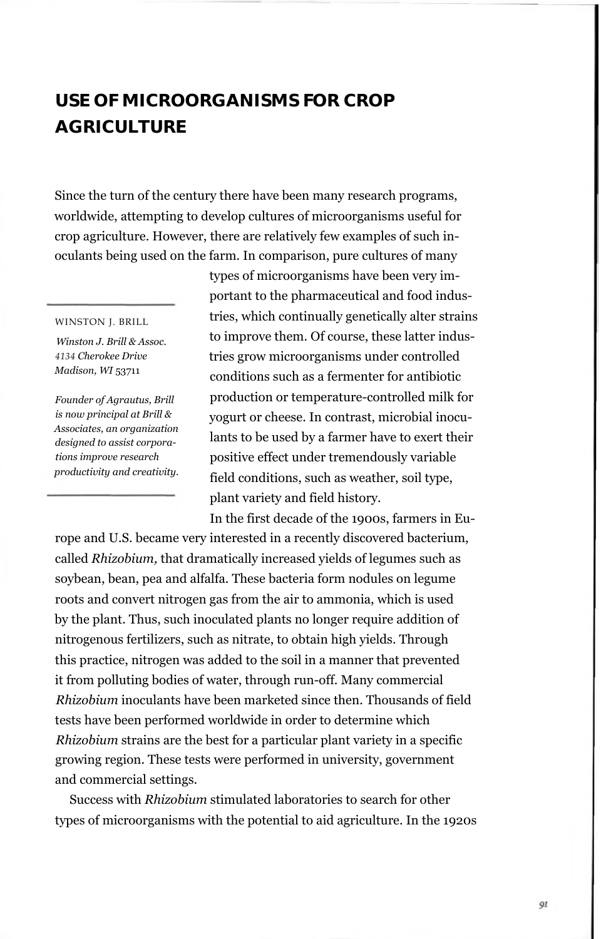## **USE OF MICROORGANISMS FOR CROP AGRICULTURE**

Since the turn of the century there have been many research programs, worldwide, attempting to develop cultures of microorganisms useful for crop agriculture. However, there are relatively few examples of such inoculants being used on the farm. In comparison, pure cultures of many

## WINSTON J. BRILL

*Winston J. Brill & Assoc. 4134 Cherokee Drive Madison, WI* 53711

*Founder of Agrautus, Brill is now principal at Brill & Associates, an organization designed to assist corporations improve research productivity and creativity.*

types of microorganisms have been very important to the pharmaceutical and food industries, which continually genetically alter strains to improve them. Of course, these latter industries grow microorganisms under controlled conditions such as a fermenter for antibiotic production or temperature-controlled milk for yogurt or cheese. In contrast, microbial inoculants to be used by a farmer have to exert their positive effect under tremendously variable field conditions, such as weather, soil type, plant variety and field history.

In the first decade of the 1900s, farmers in Eu-

rope and U.S. became very interested in a recently discovered bacterium, called *Rhizobium,* that dramatically increased yields of legumes such as soybean, bean, pea and alfalfa. These bacteria form nodules on legume roots and convert nitrogen gas from the air to ammonia, which is used by the plant. Thus, such inoculated plants no longer require addition of nitrogenous fertilizers, such as nitrate, to obtain high yields. Through this practice, nitrogen was added to the soil in a manner that prevented it from polluting bodies of water, through run-off. Many commercial *Rhizobium* inoculants have been marketed since then. Thousands of field tests have been performed worldwide in order to determine which *Rhizobium* strains are the best for a particular plant variety in a specific growing region. These tests were performed in university, government and commercial settings.

Success with *Rhizobium* stimulated laboratories to search for other types of microorganisms with the potential to aid agriculture. In the 1920s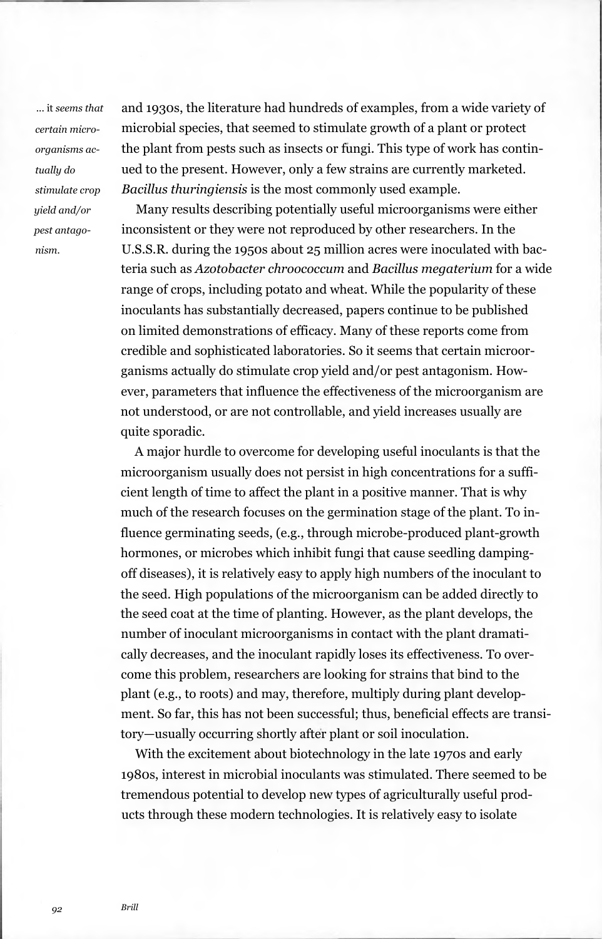... it *seems that certain microorganisms actually do stimulate crop yield and/or pest antagonism.*

and 1930s, the literature had hundreds of examples, from a wide variety of microbial species, that seemed to stimulate growth of a plant or protect the plant from pests such as insects or fungi. This type of work has continued to the present. However, only a few strains are currently marketed. *Bacillus thuringiensis* is the most commonly used example.

Many results describing potentially useful microorganisms were either inconsistent or they were not reproduced by other researchers. In the U.S.S.R. during the 1950s about 25 million acres were inoculated with bacteria such as *Azotobacter chroococcum* and *Bacillus megaterium* for a wide range of crops, including potato and wheat. While the popularity of these inoculants has substantially decreased, papers continue to be published on limited demonstrations of efficacy. Many of these reports come from credible and sophisticated laboratories. So it seems that certain microorganisms actually do stimulate crop yield and/or pest antagonism. However, parameters that influence the effectiveness of the microorganism are not understood, or are not controllable, and yield increases usually are quite sporadic.

A major hurdle to overcome for developing useful inoculants is that the microorganism usually does not persist in high concentrations for a sufficient length of time to affect the plant in a positive manner. That is why much of the research focuses on the germination stage of the plant. To influence germinating seeds, (e.g., through microbe-produced plant-growth hormones, or microbes which inhibit fungi that cause seedling dampingoff diseases), it is relatively easy to apply high numbers of the inoculant to the seed. High populations of the microorganism can be added directly to the seed coat at the time of planting. However, as the plant develops, the number of inoculant microorganisms in contact with the plant dramatically decreases, and the inoculant rapidly loses its effectiveness. To overcome this problem, researchers are looking for strains that bind to the plant (e.g., to roots) and may, therefore, multiply during plant development. So far, this has not been successful; thus, beneficial effects are transitory—usually occurring shortly after plant or soil inoculation.

With the excitement about biotechnology in the late 1970s and early 1980s, interest in microbial inoculants was stimulated. There seemed to be tremendous potential to develop new types of agriculturally useful products through these modern technologies. It is relatively easy to isolate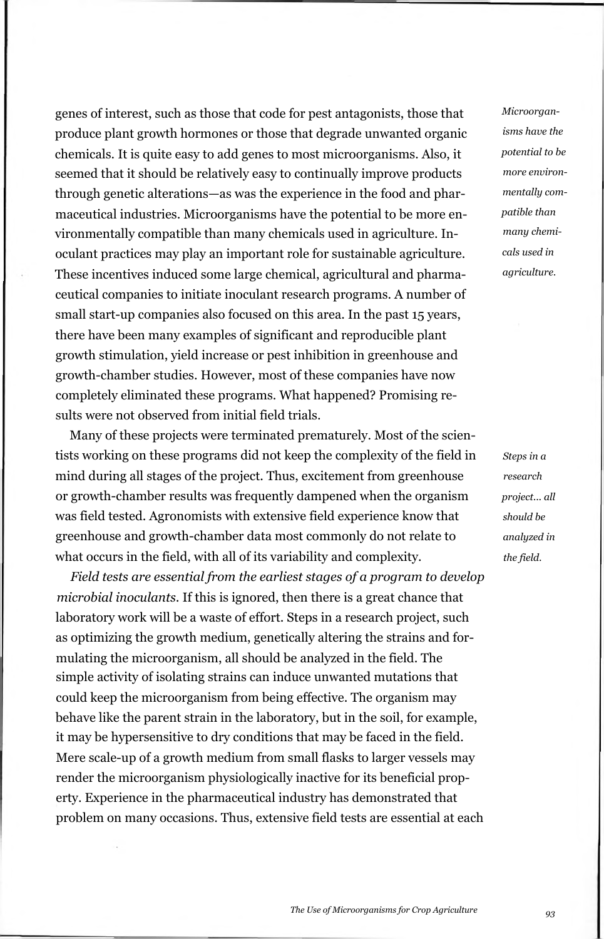genes of interest, such as those that code for pest antagonists, those that produce plant growth hormones or those that degrade unwanted organic chemicals. It is quite easy to add genes to most microorganisms. Also, it seemed that it should be relatively easy to continually improve products through genetic alterations—as was the experience in the food and pharmaceutical industries. Microorganisms have the potential to be more environmentally compatible than many chemicals used in agriculture. Inoculant practices may play an important role for sustainable agriculture. These incentives induced some large chemical, agricultural and pharmaceutical companies to initiate inoculant research programs. A number of small start-up companies also focused on this area. In the past 15 years, there have been many examples of significant and reproducible plant growth stimulation, yield increase or pest inhibition in greenhouse and growth-chamber studies. However, most of these companies have now completely eliminated these programs. What happened? Promising results were not observed from initial field trials.

Many of these projects were terminated prematurely. Most of the scientists working on these programs did not keep the complexity of the field in mind during all stages of the project. Thus, excitement from greenhouse or growth-chamber results was frequently dampened when the organism was field tested. Agronomists with extensive field experience know that greenhouse and growth-chamber data most commonly do not relate to what occurs in the field, with all of its variability and complexity.

*Field tests are essential from the earliest stages of a program to develop microbial inoculants.* If this is ignored, then there is a great chance that laboratory work will be a waste of effort. Steps in a research project, such as optimizing the growth medium, genetically altering the strains and formulating the microorganism, all should be analyzed in the field. The simple activity of isolating strains can induce unwanted mutations that could keep the microorganism from being effective. The organism may behave like the parent strain in the laboratory, but in the soil, for example, it may be hypersensitive to dry conditions that may be faced in the field. Mere scale-up of a growth medium from small flasks to larger vessels may render the microorganism physiologically inactive for its beneficial property. Experience in the pharmaceutical industry has demonstrated that problem on many occasions. Thus, extensive field tests are essential at each *Microorganisms have the potential to be more environmentally compatible than many chemicals used in agriculture.*

*Steps in a research project... all should be analyzed in the field.*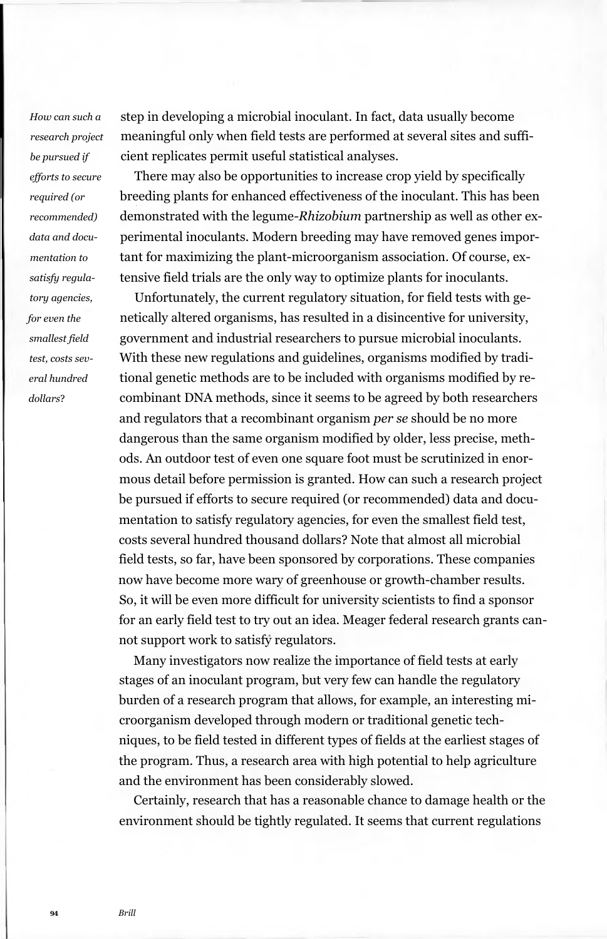*How can such a research project be pursued if efforts to secure required (or recommended) data and documentation to satisfy regulatory agencies, for even the smallest field test, costs several hundred dollars*?

step in developing a microbial inoculant. In fact, data usually become meaningful only when field tests are performed at several sites and sufficient replicates permit useful statistical analyses.

There may also be opportunities to increase crop yield by specifically breeding plants for enhanced effectiveness of the inoculant. This has been demonstrated with the legume*-Rhizobium* partnership as well as other experimental inoculants. Modern breeding may have removed genes important for maximizing the plant-microorganism association. Of course, extensive field trials are the only way to optimize plants for inoculants.

Unfortunately, the current regulatory situation, for field tests with genetically altered organisms, has resulted in a disincentive for university, government and industrial researchers to pursue microbial inoculants. With these new regulations and guidelines, organisms modified by traditional genetic methods are to be included with organisms modified by recombinant DNA methods, since it seems to be agreed by both researchers and regulators that a recombinant organism *per se* should be no more dangerous than the same organism modified by older, less precise, methods. An outdoor test of even one square foot must be scrutinized in enormous detail before permission is granted. How can such a research project be pursued if efforts to secure required (or recommended) data and documentation to satisfy regulatory agencies, for even the smallest field test, costs several hundred thousand dollars? Note that almost all microbial field tests, so far, have been sponsored by corporations. These companies now have become more wary of greenhouse or growth-chamber results. So, it will be even more difficult for university scientists to find a sponsor for an early field test to try out an idea. Meager federal research grants cannot support work to satisfy regulators.

Many investigators now realize the importance of field tests at early stages of an inoculant program, but very few can handle the regulatory burden of a research program that allows, for example, an interesting microorganism developed through modern or traditional genetic techniques, to be field tested in different types of fields at the earliest stages of the program. Thus, a research area with high potential to help agriculture and the environment has been considerably slowed.

Certainly, research that has a reasonable chance to damage health or the environment should be tightly regulated. It seems that current regulations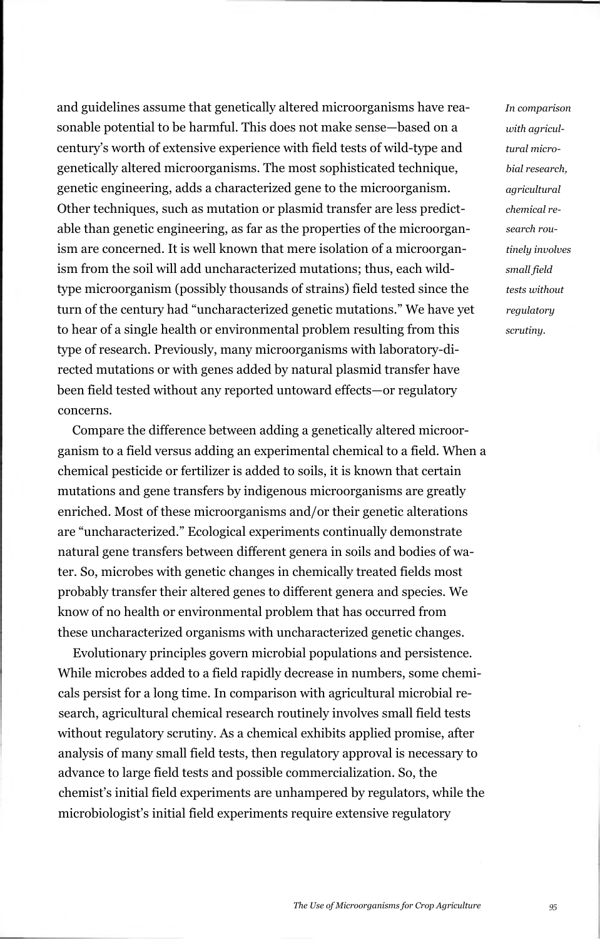and guidelines assume that genetically altered microorganisms have reasonable potential to be harmful. This does not make sense—based on a century's worth of extensive experience with field tests of wild-type and genetically altered microorganisms. The most sophisticated technique, genetic engineering, adds a characterized gene to the microorganism. Other techniques, such as mutation or plasmid transfer are less predictable than genetic engineering, as far as the properties of the microorganism are concerned. It is well known that mere isolation of a microorganism from the soil will add uncharacterized mutations; thus, each wildtype microorganism (possibly thousands of strains) field tested since the turn of the century had "uncharacterized genetic mutations." We have yet to hear of a single health or environmental problem resulting from this type of research. Previously, many microorganisms with laboratory-directed mutations or with genes added by natural plasmid transfer have been field tested without any reported untoward effects—or regulatory concerns.

Compare the difference between adding a genetically altered microorganism to a field versus adding an experimental chemical to a field. When a chemical pesticide or fertilizer is added to soils, it is known that certain mutations and gene transfers by indigenous microorganisms are greatly enriched. Most of these microorganisms and/or their genetic alterations are "uncharacterized." Ecological experiments continually demonstrate natural gene transfers between different genera in soils and bodies of water. So, microbes with genetic changes in chemically treated fields most probably transfer their altered genes to different genera and species. We know of no health or environmental problem that has occurred from these uncharacterized organisms with uncharacterized genetic changes.

Evolutionary principles govern microbial populations and persistence. While microbes added to a field rapidly decrease in numbers, some chemicals persist for a long time. In comparison with agricultural microbial research, agricultural chemical research routinely involves small field tests without regulatory scrutiny. As a chemical exhibits applied promise, after analysis of many small field tests, then regulatory approval is necessary to advance to large field tests and possible commercialization. So, the chemist's initial field experiments are unhampered by regulators, while the microbiologist's initial field experiments require extensive regulatory

*In comparison with agricultural microbial research, agricultural chemical research routinely involves small field tests without regulatory scrutiny.*